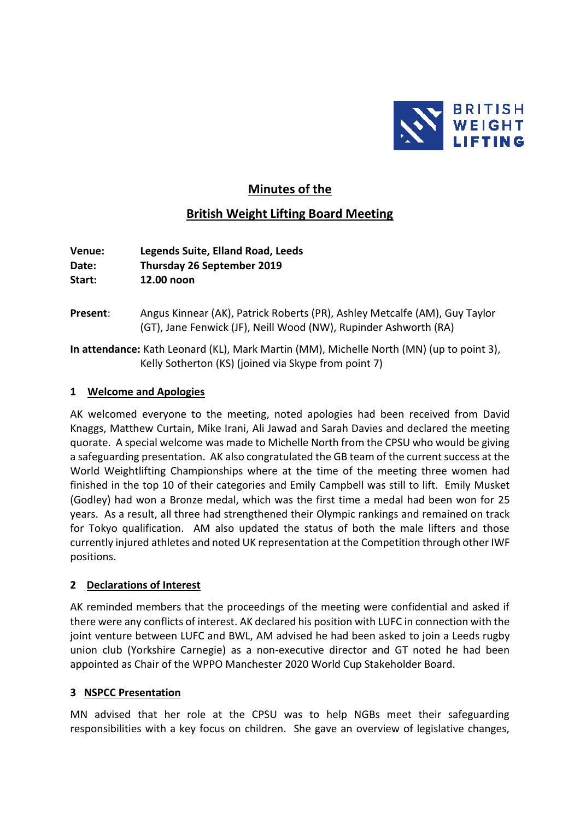

# **Minutes of the**

# **British Weight Lifting Board Meeting**

**Venue: Legends Suite, Elland Road, Leeds Date: Thursday 26 September 2019 Start: 12.00 noon**

- **Present**: Angus Kinnear (AK), Patrick Roberts (PR), Ashley Metcalfe (AM), Guy Taylor (GT), Jane Fenwick (JF), Neill Wood (NW), Rupinder Ashworth (RA)
- **In attendance:** Kath Leonard (KL), Mark Martin (MM), Michelle North (MN) (up to point 3), Kelly Sotherton (KS) (joined via Skype from point 7)

#### **1 Welcome and Apologies**

AK welcomed everyone to the meeting, noted apologies had been received from David Knaggs, Matthew Curtain, Mike Irani, Ali Jawad and Sarah Davies and declared the meeting quorate. A special welcome was made to Michelle North from the CPSU who would be giving a safeguarding presentation. AK also congratulated the GB team of the current success at the World Weightlifting Championships where at the time of the meeting three women had finished in the top 10 of their categories and Emily Campbell was still to lift. Emily Musket (Godley) had won a Bronze medal, which was the first time a medal had been won for 25 years. As a result, all three had strengthened their Olympic rankings and remained on track for Tokyo qualification. AM also updated the status of both the male lifters and those currently injured athletes and noted UK representation at the Competition through other IWF positions.

#### **2 Declarations of Interest**

AK reminded members that the proceedings of the meeting were confidential and asked if there were any conflicts of interest. AK declared his position with LUFC in connection with the joint venture between LUFC and BWL, AM advised he had been asked to join a Leeds rugby union club (Yorkshire Carnegie) as a non-executive director and GT noted he had been appointed as Chair of the WPPO Manchester 2020 World Cup Stakeholder Board.

#### **3 NSPCC Presentation**

MN advised that her role at the CPSU was to help NGBs meet their safeguarding responsibilities with a key focus on children. She gave an overview of legislative changes,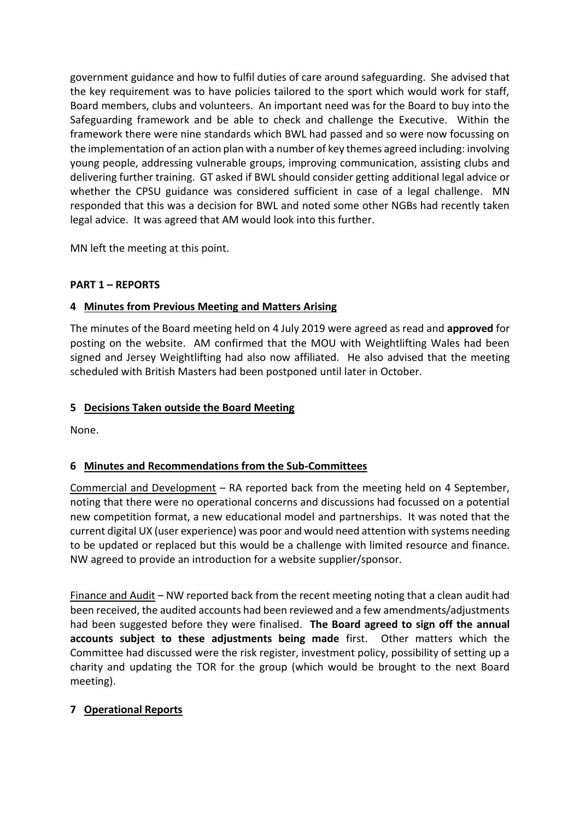government guidance and how to fulfil duties of care around safeguarding. She advised that the key requirement was to have policies tailored to the sport which would work for staff, Board members, clubs and volunteers. An important need was for the Board to buy into the Safeguarding framework and be able to check and challenge the Executive. Within the framework there were nine standards which BWL had passed and so were now focussing on the implementation of an action plan with a number of key themes agreed including: involving young people, addressing vulnerable groups, improving communication, assisting clubs and delivering further training. GT asked if BWL should consider getting additional legal advice or whether the CPSU guidance was considered sufficient in case of a legal challenge. MN responded that this was a decision for BWL and noted some other NGBs had recently taken legal advice. It was agreed that AM would look into this further.

MN left the meeting at this point.

### **PART 1 – REPORTS**

#### **4 Minutes from Previous Meeting and Matters Arising**

The minutes of the Board meeting held on 4 July 2019 were agreed as read and **approved** for posting on the website. AM confirmed that the MOU with Weightlifting Wales had been signed and Jersey Weightlifting had also now affiliated. He also advised that the meeting scheduled with British Masters had been postponed until later in October.

### **5 Decisions Taken outside the Board Meeting**

None.

#### **6 Minutes and Recommendations from the Sub-Committees**

Commercial and Development – RA reported back from the meeting held on 4 September, noting that there were no operational concerns and discussions had focussed on a potential new competition format, a new educational model and partnerships. It was noted that the current digital UX (user experience) was poor and would need attention with systems needing to be updated or replaced but this would be a challenge with limited resource and finance. NW agreed to provide an introduction for a website supplier/sponsor.

Finance and Audit – NW reported back from the recent meeting noting that a clean audit had been received, the audited accounts had been reviewed and a few amendments/adjustments had been suggested before they were finalised. **The Board agreed to sign off the annual accounts subject to these adjustments being made** first. Other matters which the Committee had discussed were the risk register, investment policy, possibility of setting up a charity and updating the TOR for the group (which would be brought to the next Board meeting).

#### **7 Operational Reports**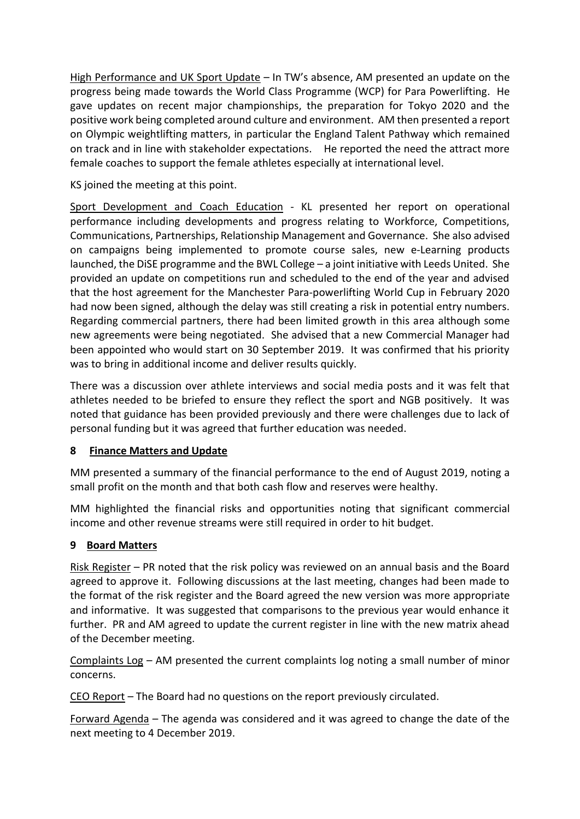High Performance and UK Sport Update – In TW's absence, AM presented an update on the progress being made towards the World Class Programme (WCP) for Para Powerlifting. He gave updates on recent major championships, the preparation for Tokyo 2020 and the positive work being completed around culture and environment. AM then presented a report on Olympic weightlifting matters, in particular the England Talent Pathway which remained on track and in line with stakeholder expectations. He reported the need the attract more female coaches to support the female athletes especially at international level.

KS joined the meeting at this point.

Sport Development and Coach Education - KL presented her report on operational performance including developments and progress relating to Workforce, Competitions, Communications, Partnerships, Relationship Management and Governance. She also advised on campaigns being implemented to promote course sales, new e-Learning products launched, the DiSE programme and the BWL College – a joint initiative with Leeds United. She provided an update on competitions run and scheduled to the end of the year and advised that the host agreement for the Manchester Para-powerlifting World Cup in February 2020 had now been signed, although the delay was still creating a risk in potential entry numbers. Regarding commercial partners, there had been limited growth in this area although some new agreements were being negotiated. She advised that a new Commercial Manager had been appointed who would start on 30 September 2019. It was confirmed that his priority was to bring in additional income and deliver results quickly.

There was a discussion over athlete interviews and social media posts and it was felt that athletes needed to be briefed to ensure they reflect the sport and NGB positively. It was noted that guidance has been provided previously and there were challenges due to lack of personal funding but it was agreed that further education was needed.

## **8 Finance Matters and Update**

MM presented a summary of the financial performance to the end of August 2019, noting a small profit on the month and that both cash flow and reserves were healthy.

MM highlighted the financial risks and opportunities noting that significant commercial income and other revenue streams were still required in order to hit budget.

## **9 Board Matters**

Risk Register – PR noted that the risk policy was reviewed on an annual basis and the Board agreed to approve it. Following discussions at the last meeting, changes had been made to the format of the risk register and the Board agreed the new version was more appropriate and informative. It was suggested that comparisons to the previous year would enhance it further. PR and AM agreed to update the current register in line with the new matrix ahead of the December meeting.

Complaints Log – AM presented the current complaints log noting a small number of minor concerns.

CEO Report – The Board had no questions on the report previously circulated.

Forward Agenda – The agenda was considered and it was agreed to change the date of the next meeting to 4 December 2019.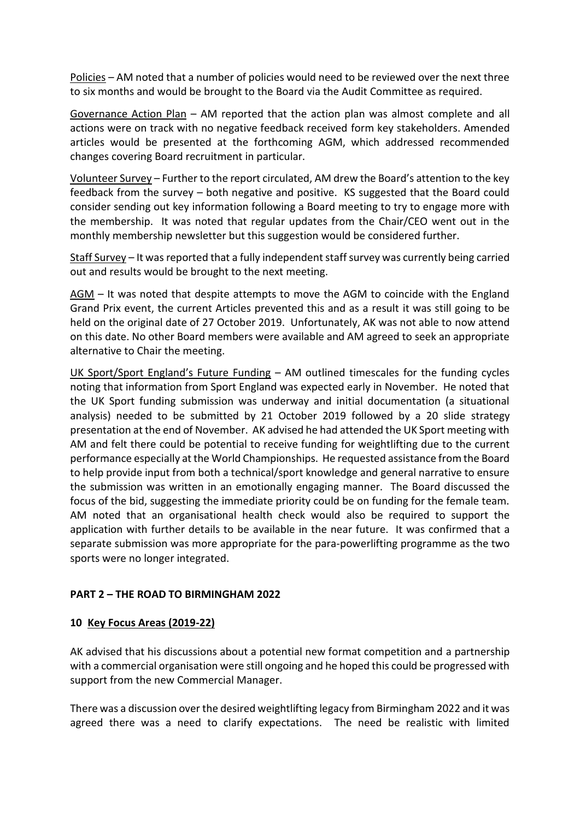Policies – AM noted that a number of policies would need to be reviewed over the next three to six months and would be brought to the Board via the Audit Committee as required.

Governance Action Plan – AM reported that the action plan was almost complete and all actions were on track with no negative feedback received form key stakeholders. Amended articles would be presented at the forthcoming AGM, which addressed recommended changes covering Board recruitment in particular.

Volunteer Survey – Further to the report circulated, AM drew the Board's attention to the key feedback from the survey – both negative and positive. KS suggested that the Board could consider sending out key information following a Board meeting to try to engage more with the membership. It was noted that regular updates from the Chair/CEO went out in the monthly membership newsletter but this suggestion would be considered further.

Staff Survey – It was reported that a fully independent staff survey was currently being carried out and results would be brought to the next meeting.

AGM – It was noted that despite attempts to move the AGM to coincide with the England Grand Prix event, the current Articles prevented this and as a result it was still going to be held on the original date of 27 October 2019. Unfortunately, AK was not able to now attend on this date. No other Board members were available and AM agreed to seek an appropriate alternative to Chair the meeting.

UK Sport/Sport England's Future Funding – AM outlined timescales for the funding cycles noting that information from Sport England was expected early in November. He noted that the UK Sport funding submission was underway and initial documentation (a situational analysis) needed to be submitted by 21 October 2019 followed by a 20 slide strategy presentation at the end of November. AK advised he had attended the UK Sport meeting with AM and felt there could be potential to receive funding for weightlifting due to the current performance especially at the World Championships. He requested assistance from the Board to help provide input from both a technical/sport knowledge and general narrative to ensure the submission was written in an emotionally engaging manner. The Board discussed the focus of the bid, suggesting the immediate priority could be on funding for the female team. AM noted that an organisational health check would also be required to support the application with further details to be available in the near future. It was confirmed that a separate submission was more appropriate for the para-powerlifting programme as the two sports were no longer integrated.

#### **PART 2 – THE ROAD TO BIRMINGHAM 2022**

#### **10 Key Focus Areas (2019-22)**

AK advised that his discussions about a potential new format competition and a partnership with a commercial organisation were still ongoing and he hoped this could be progressed with support from the new Commercial Manager.

There was a discussion over the desired weightlifting legacy from Birmingham 2022 and it was agreed there was a need to clarify expectations. The need be realistic with limited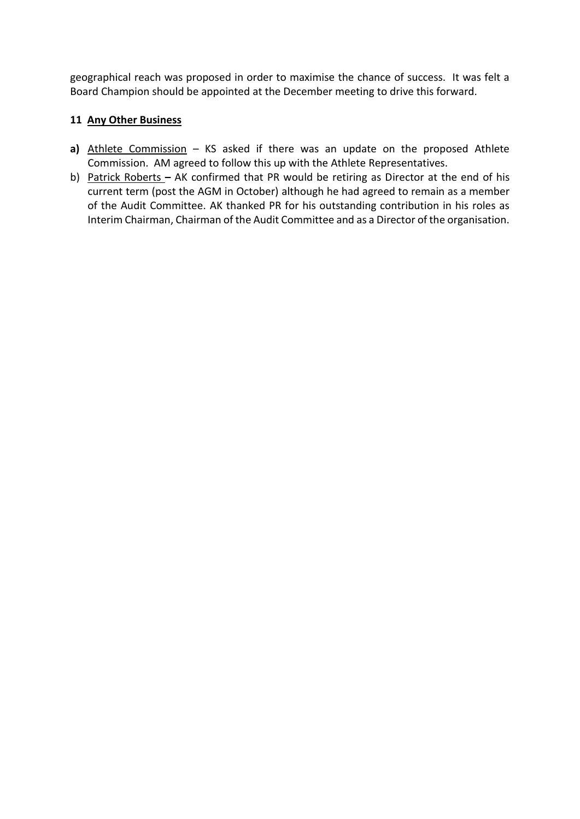geographical reach was proposed in order to maximise the chance of success. It was felt a Board Champion should be appointed at the December meeting to drive this forward.

#### **11 Any Other Business**

- **a)** Athlete Commission KS asked if there was an update on the proposed Athlete Commission. AM agreed to follow this up with the Athlete Representatives.
- b) Patrick Roberts **–** AK confirmed that PR would be retiring as Director at the end of his current term (post the AGM in October) although he had agreed to remain as a member of the Audit Committee. AK thanked PR for his outstanding contribution in his roles as Interim Chairman, Chairman of the Audit Committee and as a Director of the organisation.